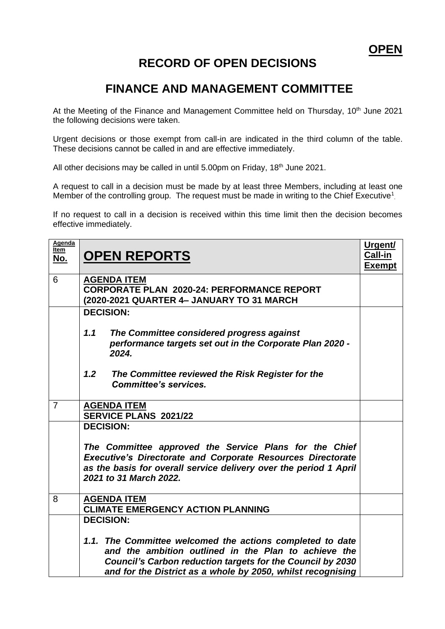## **RECORD OF OPEN DECISIONS**

## **FINANCE AND MANAGEMENT COMMITTEE**

At the Meeting of the Finance and Management Committee held on Thursday, 10<sup>th</sup> June 2021 the following decisions were taken.

Urgent decisions or those exempt from call-in are indicated in the third column of the table. These decisions cannot be called in and are effective immediately.

All other decisions may be called in until 5.00pm on Friday, 18<sup>th</sup> June 2021.

A request to call in a decision must be made by at least three Members, including at least one Member of the controlling group. The request must be made in writing to the Chief Executive<sup>1</sup>.

If no request to call in a decision is received within this time limit then the decision becomes effective immediately.

| Agenda<br>Item<br><u>No.</u> | <b>OPEN REPORTS</b>                                                                                                                                                                                                                            | Urgent/<br>Call-in<br><b>Exempt</b> |
|------------------------------|------------------------------------------------------------------------------------------------------------------------------------------------------------------------------------------------------------------------------------------------|-------------------------------------|
| 6                            | <b>AGENDA ITEM</b><br><b>CORPORATE PLAN 2020-24: PERFORMANCE REPORT</b><br>(2020-2021 QUARTER 4- JANUARY TO 31 MARCH                                                                                                                           |                                     |
|                              | <b>DECISION:</b>                                                                                                                                                                                                                               |                                     |
|                              | 1.1<br>The Committee considered progress against<br>performance targets set out in the Corporate Plan 2020 -<br>2024.                                                                                                                          |                                     |
|                              | 1.2<br>The Committee reviewed the Risk Register for the<br><b>Committee's services.</b>                                                                                                                                                        |                                     |
| $\overline{7}$               | <b>AGENDA ITEM</b><br>SERVICE PLANS 2021/22                                                                                                                                                                                                    |                                     |
|                              | <b>DECISION:</b>                                                                                                                                                                                                                               |                                     |
|                              | The Committee approved the Service Plans for the Chief<br><b>Executive's Directorate and Corporate Resources Directorate</b><br>as the basis for overall service delivery over the period 1 April<br>2021 to 31 March 2022.                    |                                     |
| 8                            | <b>AGENDA ITEM</b><br><b>CLIMATE EMERGENCY ACTION PLANNING</b>                                                                                                                                                                                 |                                     |
|                              | <b>DECISION:</b>                                                                                                                                                                                                                               |                                     |
|                              | 1.1. The Committee welcomed the actions completed to date<br>and the ambition outlined in the Plan to achieve the<br>Council's Carbon reduction targets for the Council by 2030<br>and for the District as a whole by 2050, whilst recognising |                                     |